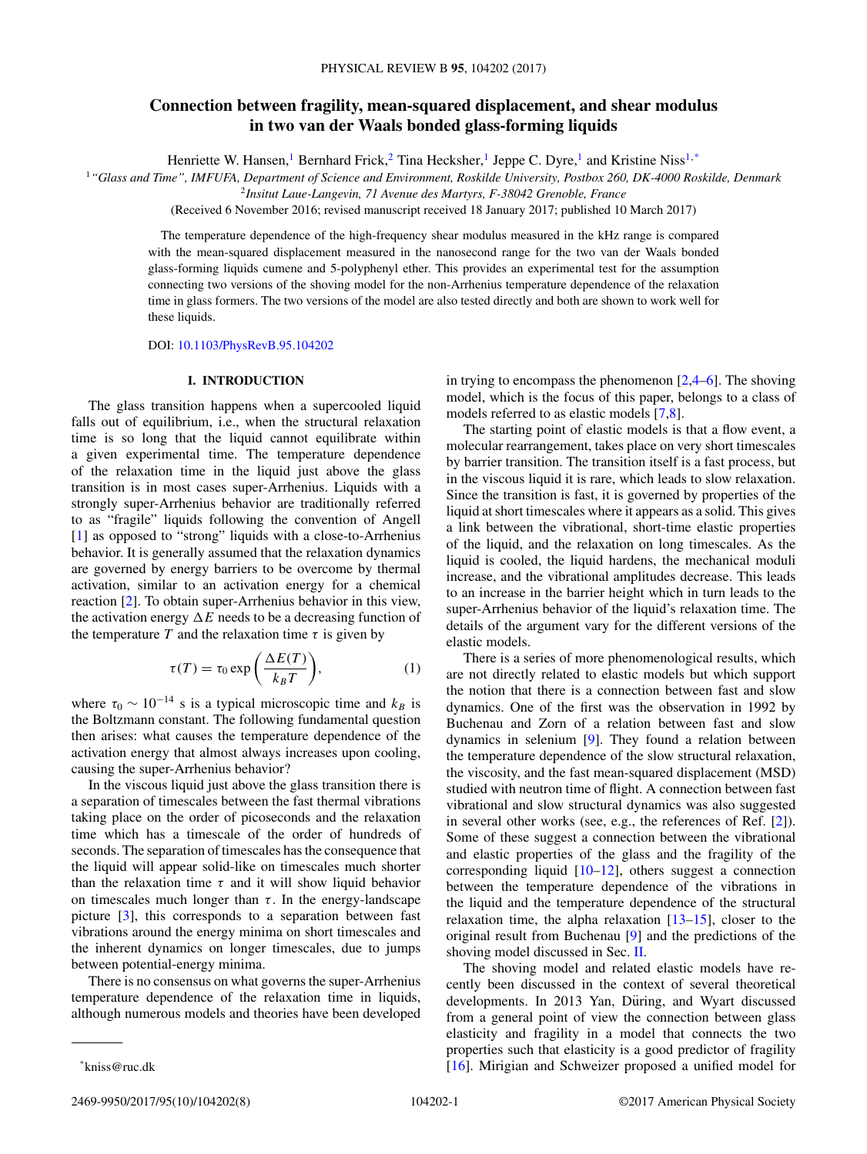# **Connection between fragility, mean-squared displacement, and shear modulus in two van der Waals bonded glass-forming liquids**

Henriette W. Hansen,<sup>1</sup> Bernhard Frick,<sup>2</sup> Tina Hecksher,<sup>1</sup> Jeppe C. Dyre,<sup>1</sup> and Kristine Niss<sup>1,\*</sup>

<sup>1</sup>*"Glass and Time", IMFUFA, Department of Science and Environment, Roskilde University, Postbox 260, DK-4000 Roskilde, Denmark*

<sup>2</sup>*Insitut Laue-Langevin, 71 Avenue des Martyrs, F-38042 Grenoble, France*

(Received 6 November 2016; revised manuscript received 18 January 2017; published 10 March 2017)

The temperature dependence of the high-frequency shear modulus measured in the kHz range is compared with the mean-squared displacement measured in the nanosecond range for the two van der Waals bonded glass-forming liquids cumene and 5-polyphenyl ether. This provides an experimental test for the assumption connecting two versions of the shoving model for the non-Arrhenius temperature dependence of the relaxation time in glass formers. The two versions of the model are also tested directly and both are shown to work well for these liquids.

DOI: [10.1103/PhysRevB.95.104202](https://doi.org/10.1103/PhysRevB.95.104202)

#### **I. INTRODUCTION**

The glass transition happens when a supercooled liquid falls out of equilibrium, i.e., when the structural relaxation time is so long that the liquid cannot equilibrate within a given experimental time. The temperature dependence of the relaxation time in the liquid just above the glass transition is in most cases super-Arrhenius. Liquids with a strongly super-Arrhenius behavior are traditionally referred to as "fragile" liquids following the convention of Angell [\[1\]](#page-6-0) as opposed to "strong" liquids with a close-to-Arrhenius behavior. It is generally assumed that the relaxation dynamics are governed by energy barriers to be overcome by thermal activation, similar to an activation energy for a chemical reaction [\[2\]](#page-6-0). To obtain super-Arrhenius behavior in this view, the activation energy  $\Delta E$  needs to be a decreasing function of the temperature *T* and the relaxation time  $\tau$  is given by

$$
\tau(T) = \tau_0 \exp\left(\frac{\Delta E(T)}{k_B T}\right),\tag{1}
$$

where  $\tau_0 \sim 10^{-14}$  s is a typical microscopic time and  $k_B$  is the Boltzmann constant. The following fundamental question then arises: what causes the temperature dependence of the activation energy that almost always increases upon cooling, causing the super-Arrhenius behavior?

In the viscous liquid just above the glass transition there is a separation of timescales between the fast thermal vibrations taking place on the order of picoseconds and the relaxation time which has a timescale of the order of hundreds of seconds. The separation of timescales has the consequence that the liquid will appear solid-like on timescales much shorter than the relaxation time  $\tau$  and it will show liquid behavior on timescales much longer than  $\tau$ . In the energy-landscape picture [\[3\]](#page-6-0), this corresponds to a separation between fast vibrations around the energy minima on short timescales and the inherent dynamics on longer timescales, due to jumps between potential-energy minima.

There is no consensus on what governs the super-Arrhenius temperature dependence of the relaxation time in liquids, although numerous models and theories have been developed

The starting point of elastic models is that a flow event, a molecular rearrangement, takes place on very short timescales by barrier transition. The transition itself is a fast process, but in the viscous liquid it is rare, which leads to slow relaxation. Since the transition is fast, it is governed by properties of the liquid at short timescales where it appears as a solid. This gives a link between the vibrational, short-time elastic properties of the liquid, and the relaxation on long timescales. As the liquid is cooled, the liquid hardens, the mechanical moduli increase, and the vibrational amplitudes decrease. This leads to an increase in the barrier height which in turn leads to the super-Arrhenius behavior of the liquid's relaxation time. The details of the argument vary for the different versions of the elastic models.

There is a series of more phenomenological results, which are not directly related to elastic models but which support the notion that there is a connection between fast and slow dynamics. One of the first was the observation in 1992 by Buchenau and Zorn of a relation between fast and slow dynamics in selenium [\[9\]](#page-6-0). They found a relation between the temperature dependence of the slow structural relaxation, the viscosity, and the fast mean-squared displacement (MSD) studied with neutron time of flight. A connection between fast vibrational and slow structural dynamics was also suggested in several other works (see, e.g., the references of Ref. [\[2\]](#page-6-0)). Some of these suggest a connection between the vibrational and elastic properties of the glass and the fragility of the corresponding liquid [\[10–12\]](#page-6-0), others suggest a connection between the temperature dependence of the vibrations in the liquid and the temperature dependence of the structural relaxation time, the alpha relaxation [\[13–15\]](#page-6-0), closer to the original result from Buchenau [\[9\]](#page-6-0) and the predictions of the shoving model discussed in Sec. [II.](#page-1-0)

The shoving model and related elastic models have recently been discussed in the context of several theoretical developments. In 2013 Yan, Düring, and Wyart discussed from a general point of view the connection between glass elasticity and fragility in a model that connects the two properties such that elasticity is a good predictor of fragility [\[16\]](#page-6-0). Mirigian and Schweizer proposed a unified model for

in trying to encompass the phenomenon  $[2,4–6]$ . The shoving model, which is the focus of this paper, belongs to a class of models referred to as elastic models [\[7,8\]](#page-6-0).

<sup>\*</sup>kniss@ruc.dk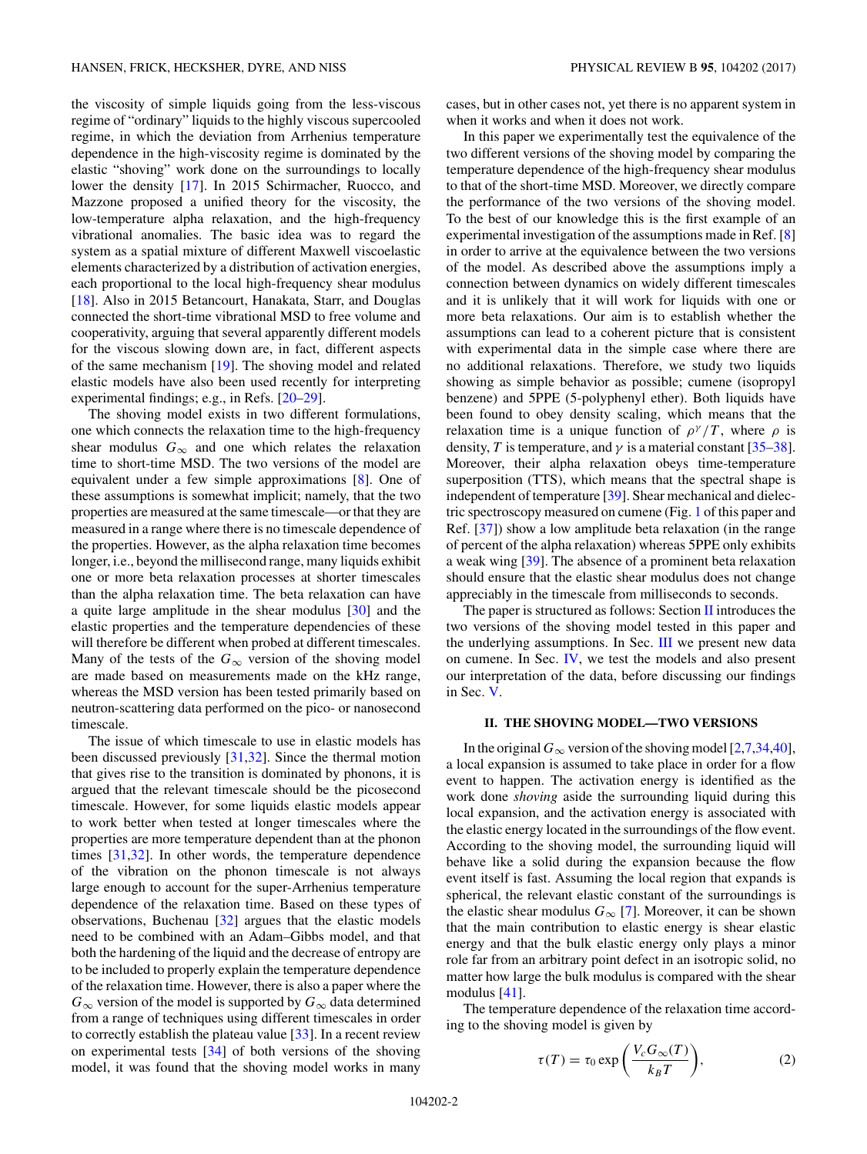<span id="page-1-0"></span>the viscosity of simple liquids going from the less-viscous regime of "ordinary" liquids to the highly viscous supercooled regime, in which the deviation from Arrhenius temperature dependence in the high-viscosity regime is dominated by the elastic "shoving" work done on the surroundings to locally lower the density [\[17\]](#page-6-0). In 2015 Schirmacher, Ruocco, and Mazzone proposed a unified theory for the viscosity, the low-temperature alpha relaxation, and the high-frequency vibrational anomalies. The basic idea was to regard the system as a spatial mixture of different Maxwell viscoelastic elements characterized by a distribution of activation energies, each proportional to the local high-frequency shear modulus [\[18\]](#page-6-0). Also in 2015 Betancourt, Hanakata, Starr, and Douglas connected the short-time vibrational MSD to free volume and cooperativity, arguing that several apparently different models for the viscous slowing down are, in fact, different aspects of the same mechanism [\[19\]](#page-6-0). The shoving model and related elastic models have also been used recently for interpreting experimental findings; e.g., in Refs. [\[20–29\]](#page-6-0).

The shoving model exists in two different formulations, one which connects the relaxation time to the high-frequency shear modulus  $G_{\infty}$  and one which relates the relaxation time to short-time MSD. The two versions of the model are equivalent under a few simple approximations [\[8\]](#page-6-0). One of these assumptions is somewhat implicit; namely, that the two properties are measured at the same timescale—or that they are measured in a range where there is no timescale dependence of the properties. However, as the alpha relaxation time becomes longer, i.e., beyond the millisecond range, many liquids exhibit one or more beta relaxation processes at shorter timescales than the alpha relaxation time. The beta relaxation can have a quite large amplitude in the shear modulus [\[30\]](#page-6-0) and the elastic properties and the temperature dependencies of these will therefore be different when probed at different timescales. Many of the tests of the  $G_{\infty}$  version of the shoving model are made based on measurements made on the kHz range, whereas the MSD version has been tested primarily based on neutron-scattering data performed on the pico- or nanosecond timescale.

The issue of which timescale to use in elastic models has been discussed previously [\[31,32\]](#page-6-0). Since the thermal motion that gives rise to the transition is dominated by phonons, it is argued that the relevant timescale should be the picosecond timescale. However, for some liquids elastic models appear to work better when tested at longer timescales where the properties are more temperature dependent than at the phonon times [\[31,32\]](#page-6-0). In other words, the temperature dependence of the vibration on the phonon timescale is not always large enough to account for the super-Arrhenius temperature dependence of the relaxation time. Based on these types of observations, Buchenau [\[32\]](#page-6-0) argues that the elastic models need to be combined with an Adam–Gibbs model, and that both the hardening of the liquid and the decrease of entropy are to be included to properly explain the temperature dependence of the relaxation time. However, there is also a paper where the  $G_{\infty}$  version of the model is supported by  $G_{\infty}$  data determined from a range of techniques using different timescales in order to correctly establish the plateau value [\[33\]](#page-6-0). In a recent review on experimental tests [\[34\]](#page-7-0) of both versions of the shoving model, it was found that the shoving model works in many

cases, but in other cases not, yet there is no apparent system in when it works and when it does not work.

In this paper we experimentally test the equivalence of the two different versions of the shoving model by comparing the temperature dependence of the high-frequency shear modulus to that of the short-time MSD. Moreover, we directly compare the performance of the two versions of the shoving model. To the best of our knowledge this is the first example of an experimental investigation of the assumptions made in Ref. [\[8\]](#page-6-0) in order to arrive at the equivalence between the two versions of the model. As described above the assumptions imply a connection between dynamics on widely different timescales and it is unlikely that it will work for liquids with one or more beta relaxations. Our aim is to establish whether the assumptions can lead to a coherent picture that is consistent with experimental data in the simple case where there are no additional relaxations. Therefore, we study two liquids showing as simple behavior as possible; cumene (isopropyl benzene) and 5PPE (5-polyphenyl ether). Both liquids have been found to obey density scaling, which means that the relaxation time is a unique function of  $\rho^{\gamma}/T$ , where  $\rho$  is density, *T* is temperature, and  $\gamma$  is a material constant [\[35–38\]](#page-7-0). Moreover, their alpha relaxation obeys time-temperature superposition (TTS), which means that the spectral shape is independent of temperature [\[39\]](#page-7-0). Shear mechanical and dielectric spectroscopy measured on cumene (Fig. [1](#page-2-0) of this paper and Ref. [\[37\]](#page-7-0)) show a low amplitude beta relaxation (in the range of percent of the alpha relaxation) whereas 5PPE only exhibits a weak wing [\[39\]](#page-7-0). The absence of a prominent beta relaxation should ensure that the elastic shear modulus does not change appreciably in the timescale from milliseconds to seconds.

The paper is structured as follows: Section II introduces the two versions of the shoving model tested in this paper and the underlying assumptions. In Sec. [III](#page-2-0) we present new data on cumene. In Sec. [IV,](#page-3-0) we test the models and also present our interpretation of the data, before discussing our findings in Sec. [V.](#page-5-0)

#### **II. THE SHOVING MODEL—TWO VERSIONS**

In the original  $G_{\infty}$  version of the shoving model [\[2,7](#page-6-0)[,34,40\]](#page-7-0), a local expansion is assumed to take place in order for a flow event to happen. The activation energy is identified as the work done *shoving* aside the surrounding liquid during this local expansion, and the activation energy is associated with the elastic energy located in the surroundings of the flow event. According to the shoving model, the surrounding liquid will behave like a solid during the expansion because the flow event itself is fast. Assuming the local region that expands is spherical, the relevant elastic constant of the surroundings is the elastic shear modulus  $G_{\infty}$  [\[7\]](#page-6-0). Moreover, it can be shown that the main contribution to elastic energy is shear elastic energy and that the bulk elastic energy only plays a minor role far from an arbitrary point defect in an isotropic solid, no matter how large the bulk modulus is compared with the shear modulus [\[41\]](#page-7-0).

The temperature dependence of the relaxation time according to the shoving model is given by

$$
\tau(T) = \tau_0 \exp\left(\frac{V_c G_{\infty}(T)}{k_B T}\right),\tag{2}
$$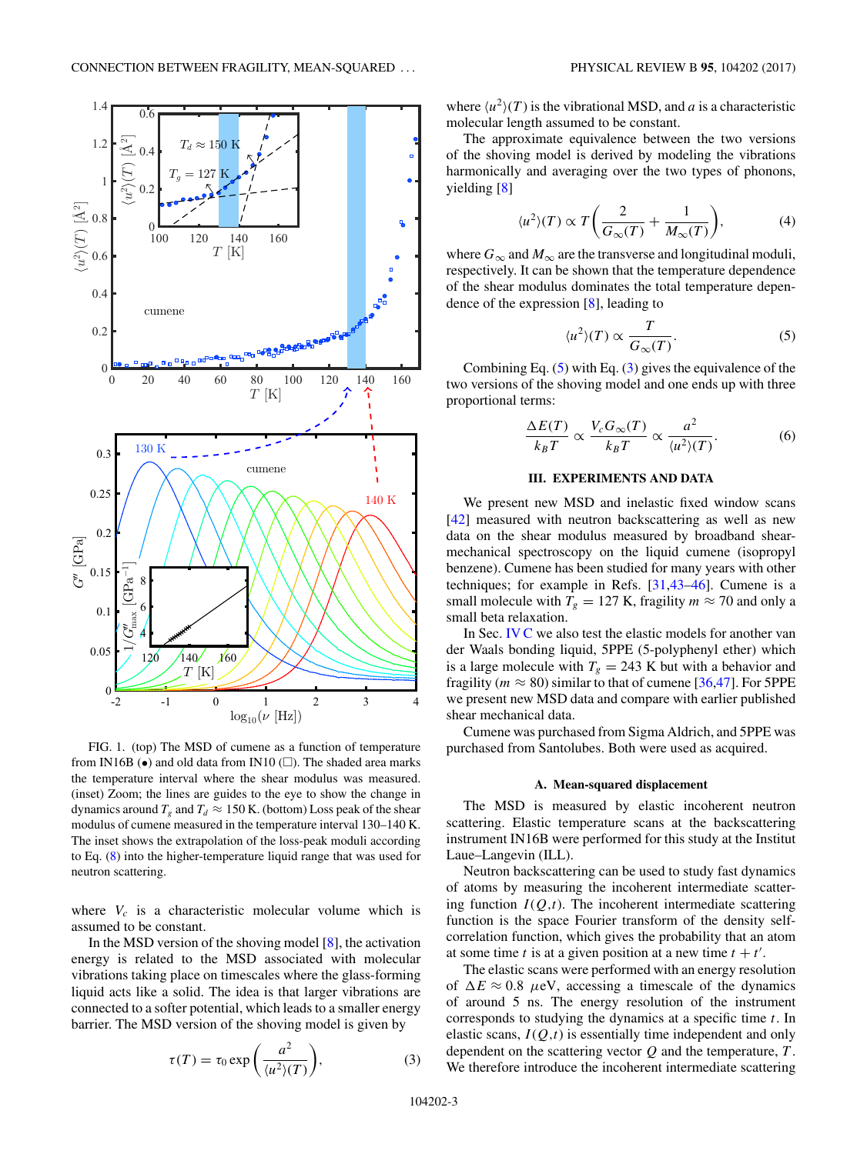<span id="page-2-0"></span>

FIG. 1. (top) The MSD of cumene as a function of temperature from IN16B  $\left(\bullet\right)$  and old data from IN10 ( $\square$ ). The shaded area marks the temperature interval where the shear modulus was measured. (inset) Zoom; the lines are guides to the eye to show the change in dynamics around  $T_g$  and  $T_d \approx 150$  K. (bottom) Loss peak of the shear modulus of cumene measured in the temperature interval 130–140 K. The inset shows the extrapolation of the loss-peak moduli according to Eq. [\(8\)](#page-3-0) into the higher-temperature liquid range that was used for neutron scattering.

where  $V_c$  is a characteristic molecular volume which is assumed to be constant.

In the MSD version of the shoving model [\[8\]](#page-6-0), the activation energy is related to the MSD associated with molecular vibrations taking place on timescales where the glass-forming liquid acts like a solid. The idea is that larger vibrations are connected to a softer potential, which leads to a smaller energy barrier. The MSD version of the shoving model is given by

$$
\tau(T) = \tau_0 \exp\left(\frac{a^2}{\langle u^2 \rangle(T)}\right),\tag{3}
$$

where  $\langle u^2 \rangle(T)$  is the vibrational MSD, and *a* is a characteristic molecular length assumed to be constant.

The approximate equivalence between the two versions of the shoving model is derived by modeling the vibrations harmonically and averaging over the two types of phonons, yielding [\[8\]](#page-6-0)

$$
\langle u^2 \rangle(T) \propto T \bigg( \frac{2}{G_{\infty}(T)} + \frac{1}{M_{\infty}(T)} \bigg), \tag{4}
$$

where  $G_{\infty}$  and  $M_{\infty}$  are the transverse and longitudinal moduli, respectively. It can be shown that the temperature dependence of the shear modulus dominates the total temperature dependence of the expression [\[8\]](#page-6-0), leading to

$$
\langle u^2 \rangle(T) \propto \frac{T}{G_{\infty}(T)}.\tag{5}
$$

Combining Eq.  $(5)$  with Eq.  $(3)$  gives the equivalence of the two versions of the shoving model and one ends up with three proportional terms:

$$
\frac{\Delta E(T)}{k_B T} \propto \frac{V_c G_{\infty}(T)}{k_B T} \propto \frac{a^2}{\langle u^2 \rangle(T)}.
$$
 (6)

# **III. EXPERIMENTS AND DATA**

We present new MSD and inelastic fixed window scans [\[42\]](#page-7-0) measured with neutron backscattering as well as new data on the shear modulus measured by broadband shearmechanical spectroscopy on the liquid cumene (isopropyl benzene). Cumene has been studied for many years with other techniques; for example in Refs. [\[31](#page-6-0)[,43–46\]](#page-7-0). Cumene is a small molecule with  $T_g = 127$  K, fragility  $m \approx 70$  and only a small beta relaxation.

In Sec. [IV C](#page-4-0) we also test the elastic models for another van der Waals bonding liquid, 5PPE (5-polyphenyl ether) which is a large molecule with  $T_g = 243$  K but with a behavior and fragility ( $m \approx 80$ ) similar to that of cumene [\[36,47\]](#page-7-0). For 5PPE we present new MSD data and compare with earlier published shear mechanical data.

Cumene was purchased from Sigma Aldrich, and 5PPE was purchased from Santolubes. Both were used as acquired.

#### **A. Mean-squared displacement**

The MSD is measured by elastic incoherent neutron scattering. Elastic temperature scans at the backscattering instrument IN16B were performed for this study at the Institut Laue–Langevin (ILL).

Neutron backscattering can be used to study fast dynamics of atoms by measuring the incoherent intermediate scattering function  $I(Q,t)$ . The incoherent intermediate scattering function is the space Fourier transform of the density selfcorrelation function, which gives the probability that an atom at some time *t* is at a given position at a new time  $t + t'$ .

The elastic scans were performed with an energy resolution of  $\Delta E \approx 0.8$  *μeV*, accessing a timescale of the dynamics of around 5 ns. The energy resolution of the instrument corresponds to studying the dynamics at a specific time *t*. In elastic scans,  $I(Q,t)$  is essentially time independent and only dependent on the scattering vector *Q* and the temperature, *T* . We therefore introduce the incoherent intermediate scattering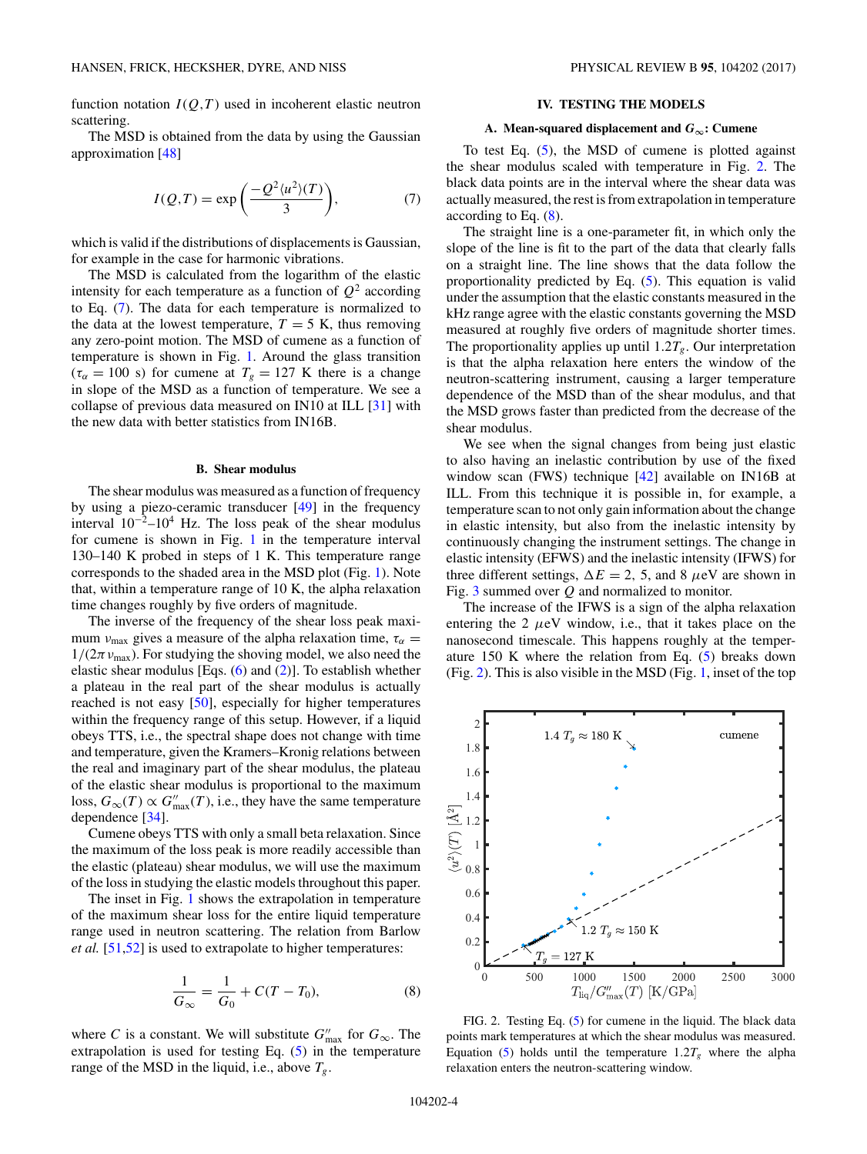<span id="page-3-0"></span>function notation  $I(Q,T)$  used in incoherent elastic neutron scattering.

The MSD is obtained from the data by using the Gaussian approximation [\[48\]](#page-7-0)

$$
I(Q,T) = \exp\left(\frac{-Q^2 \langle u^2 \rangle(T)}{3}\right),\tag{7}
$$

which is valid if the distributions of displacements is Gaussian, for example in the case for harmonic vibrations.

The MSD is calculated from the logarithm of the elastic intensity for each temperature as a function of  $Q^2$  according to Eq. (7). The data for each temperature is normalized to the data at the lowest temperature,  $T = 5$  K, thus removing any zero-point motion. The MSD of cumene as a function of temperature is shown in Fig. [1.](#page-2-0) Around the glass transition  $(\tau_{\alpha} = 100 \text{ s})$  for cumene at  $T_g = 127 \text{ K}$  there is a change in slope of the MSD as a function of temperature. We see a collapse of previous data measured on IN10 at ILL [\[31\]](#page-6-0) with the new data with better statistics from IN16B.

#### **B. Shear modulus**

The shear modulus was measured as a function of frequency by using a piezo-ceramic transducer [\[49\]](#page-7-0) in the frequency interval  $10^{-2}$ – $10^{4}$  Hz. The loss peak of the shear modulus for cumene is shown in Fig. [1](#page-2-0) in the temperature interval 130–140 K probed in steps of 1 K. This temperature range corresponds to the shaded area in the MSD plot (Fig. [1\)](#page-2-0). Note that, within a temperature range of 10 K, the alpha relaxation time changes roughly by five orders of magnitude.

The inverse of the frequency of the shear loss peak maximum *v*<sub>max</sub> gives a measure of the alpha relaxation time,  $\tau_{\alpha}$  $1/(2\pi v_{\text{max}})$ . For studying the shoving model, we also need the elastic shear modulus [Eqs. [\(6\)](#page-2-0) and [\(2\)](#page-1-0)]. To establish whether a plateau in the real part of the shear modulus is actually reached is not easy [\[50\]](#page-7-0), especially for higher temperatures within the frequency range of this setup. However, if a liquid obeys TTS, i.e., the spectral shape does not change with time and temperature, given the Kramers–Kronig relations between the real and imaginary part of the shear modulus, the plateau of the elastic shear modulus is proportional to the maximum loss,  $G_{\infty}(T) \propto G''_{\text{max}}(T)$ , i.e., they have the same temperature dependence [\[34\]](#page-7-0).

Cumene obeys TTS with only a small beta relaxation. Since the maximum of the loss peak is more readily accessible than the elastic (plateau) shear modulus, we will use the maximum of the loss in studying the elastic models throughout this paper.

The inset in Fig. [1](#page-2-0) shows the extrapolation in temperature of the maximum shear loss for the entire liquid temperature range used in neutron scattering. The relation from Barlow *et al.* [\[51,52\]](#page-7-0) is used to extrapolate to higher temperatures:

$$
\frac{1}{G_{\infty}} = \frac{1}{G_0} + C(T - T_0),
$$
 (8)

where *C* is a constant. We will substitute  $G''_{\text{max}}$  for  $G_{\infty}$ . The extrapolation is used for testing Eq. [\(5\)](#page-2-0) in the temperature range of the MSD in the liquid, i.e., above  $T_g$ .

#### **IV. TESTING THE MODELS**

#### **A.** Mean-squared displacement and  $G_{\infty}$ : Cumene

To test Eq. [\(5\)](#page-2-0), the MSD of cumene is plotted against the shear modulus scaled with temperature in Fig. 2. The black data points are in the interval where the shear data was actually measured, the rest is from extrapolation in temperature according to Eq. (8).

The straight line is a one-parameter fit, in which only the slope of the line is fit to the part of the data that clearly falls on a straight line. The line shows that the data follow the proportionality predicted by Eq. [\(5\)](#page-2-0). This equation is valid under the assumption that the elastic constants measured in the kHz range agree with the elastic constants governing the MSD measured at roughly five orders of magnitude shorter times. The proportionality applies up until  $1.2T_g$ . Our interpretation is that the alpha relaxation here enters the window of the neutron-scattering instrument, causing a larger temperature dependence of the MSD than of the shear modulus, and that the MSD grows faster than predicted from the decrease of the shear modulus.

We see when the signal changes from being just elastic to also having an inelastic contribution by use of the fixed window scan (FWS) technique [\[42\]](#page-7-0) available on IN16B at ILL. From this technique it is possible in, for example, a temperature scan to not only gain information about the change in elastic intensity, but also from the inelastic intensity by continuously changing the instrument settings. The change in elastic intensity (EFWS) and the inelastic intensity (IFWS) for three different settings,  $\Delta E = 2$ , 5, and 8  $\mu$ eV are shown in Fig. [3](#page-4-0) summed over *Q* and normalized to monitor.

The increase of the IFWS is a sign of the alpha relaxation entering the 2  $\mu$ eV window, i.e., that it takes place on the nanosecond timescale. This happens roughly at the temperature 150 K where the relation from Eq. [\(5\)](#page-2-0) breaks down (Fig. 2). This is also visible in the MSD (Fig. [1,](#page-2-0) inset of the top

cumene



FIG. 2. Testing Eq. [\(5\)](#page-2-0) for cumene in the liquid. The black data points mark temperatures at which the shear modulus was measured. Equation [\(5\)](#page-2-0) holds until the temperature  $1.2T_g$  where the alpha relaxation enters the neutron-scattering window.

2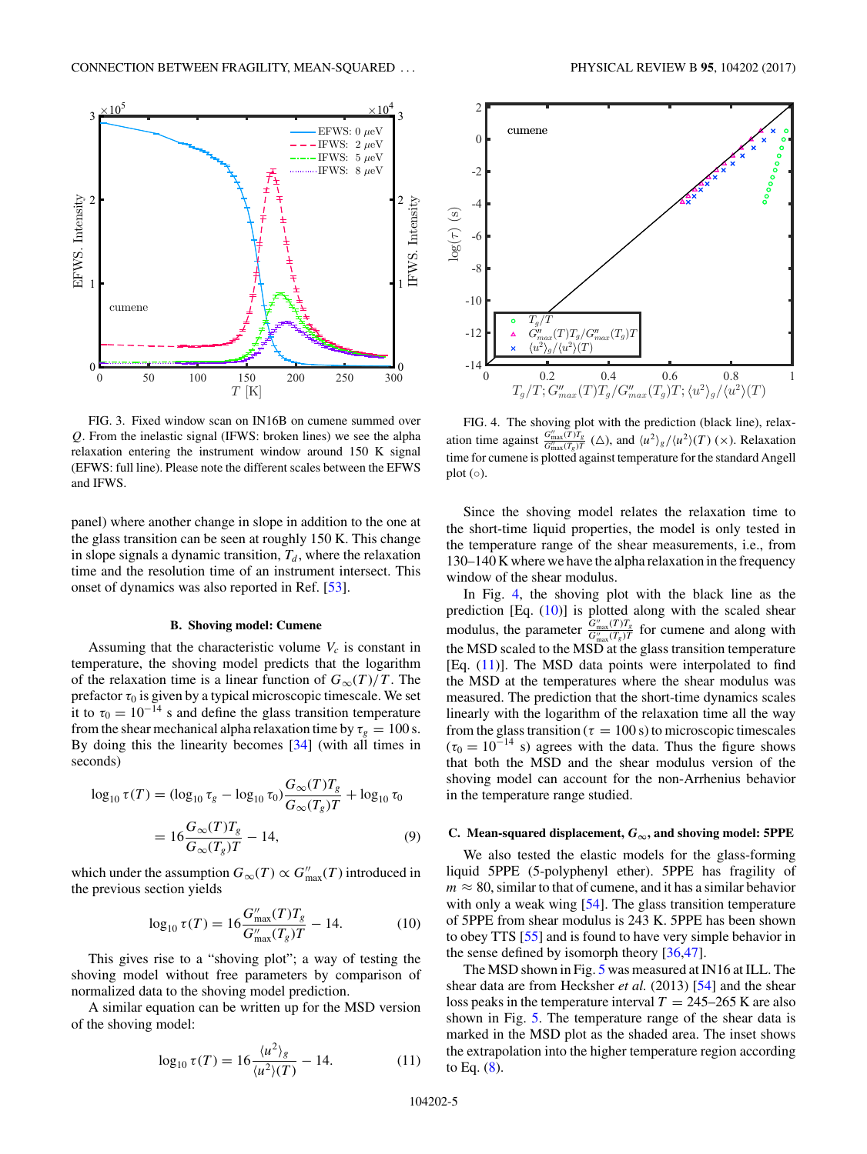<span id="page-4-0"></span>

FIG. 3. Fixed window scan on IN16B on cumene summed over *Q*. From the inelastic signal (IFWS: broken lines) we see the alpha relaxation entering the instrument window around 150 K signal (EFWS: full line). Please note the different scales between the EFWS and IFWS.

panel) where another change in slope in addition to the one at the glass transition can be seen at roughly 150 K. This change in slope signals a dynamic transition,  $T_d$ , where the relaxation time and the resolution time of an instrument intersect. This onset of dynamics was also reported in Ref. [\[53\]](#page-7-0).

## **B. Shoving model: Cumene**

Assuming that the characteristic volume  $V_c$  is constant in temperature, the shoving model predicts that the logarithm of the relaxation time is a linear function of  $G_{\infty}(T)/T$ . The prefactor *τ*<sup>0</sup> is given by a typical microscopic timescale. We set it to  $\tau_0 = 10^{-14}$  s and define the glass transition temperature from the shear mechanical alpha relaxation time by  $\tau_g = 100$  s. By doing this the linearity becomes [\[34\]](#page-7-0) (with all times in seconds)

$$
\log_{10} \tau(T) = (\log_{10} \tau_g - \log_{10} \tau_0) \frac{G_{\infty}(T)T_g}{G_{\infty}(T_g)T} + \log_{10} \tau_0
$$

$$
= 16 \frac{G_{\infty}(T)T_g}{G_{\infty}(T_g)T} - 14,
$$
(9)

which under the assumption  $G_{\infty}(T) \propto G''_{\text{max}}(T)$  introduced in the previous section yields

$$
\log_{10} \tau(T) = 16 \frac{G_{\text{max}}''(T)T_g}{G_{\text{max}}''(T_g)T} - 14. \tag{10}
$$

This gives rise to a "shoving plot"; a way of testing the shoving model without free parameters by comparison of normalized data to the shoving model prediction.

A similar equation can be written up for the MSD version of the shoving model:

$$
\log_{10} \tau(T) = 16 \frac{\langle u^2 \rangle_g}{\langle u^2 \rangle(T)} - 14. \tag{11}
$$



FIG. 4. The shoving plot with the prediction (black line), relaxation time against  $\frac{G_{\text{max}}''(T)T_g}{G_{\text{max}}''(T_g)T}$  ( $\triangle$ ), and  $\langle u^2 \rangle_g / \langle u^2 \rangle(T)$  ( $\times$ ). Relaxation time for cumene is plotted against temperature for the standard Angell plot  $(○)$ .

Since the shoving model relates the relaxation time to the short-time liquid properties, the model is only tested in the temperature range of the shear measurements, i.e., from 130–140 K where we have the alpha relaxation in the frequency window of the shear modulus.

In Fig. 4, the shoving plot with the black line as the prediction [Eq. (10)] is plotted along with the scaled shear modulus, the parameter  $\frac{G_{\text{max}}^{\prime}(T)T_g}{G_{\text{max}}^{\prime}(T_g)T}$  for cumene and along with the MSD scaled to the MSD at the glass transition temperature [Eq.  $(11)$ ]. The MSD data points were interpolated to find the MSD at the temperatures where the shear modulus was measured. The prediction that the short-time dynamics scales linearly with the logarithm of the relaxation time all the way from the glass transition ( $\tau = 100$  s) to microscopic timescales  $(\tau_0 = 10^{-14}$  s) agrees with the data. Thus the figure shows that both the MSD and the shear modulus version of the shoving model can account for the non-Arrhenius behavior in the temperature range studied.

#### **C.** Mean-squared displacement,  $G_{\infty}$ , and shoving model: 5PPE

We also tested the elastic models for the glass-forming liquid 5PPE (5-polyphenyl ether). 5PPE has fragility of  $m \approx 80$ , similar to that of cumene, and it has a similar behavior with only a weak wing [\[54\]](#page-7-0). The glass transition temperature of 5PPE from shear modulus is 243 K. 5PPE has been shown to obey TTS [\[55\]](#page-7-0) and is found to have very simple behavior in the sense defined by isomorph theory [\[36,47\]](#page-7-0).

The MSD shown in Fig. [5](#page-5-0) was measured at IN16 at ILL. The shear data are from Hecksher *et al.* (2013) [\[54\]](#page-7-0) and the shear loss peaks in the temperature interval  $T = 245-265$  K are also shown in Fig. [5.](#page-5-0) The temperature range of the shear data is marked in the MSD plot as the shaded area. The inset shows the extrapolation into the higher temperature region according to Eq.  $(8)$ .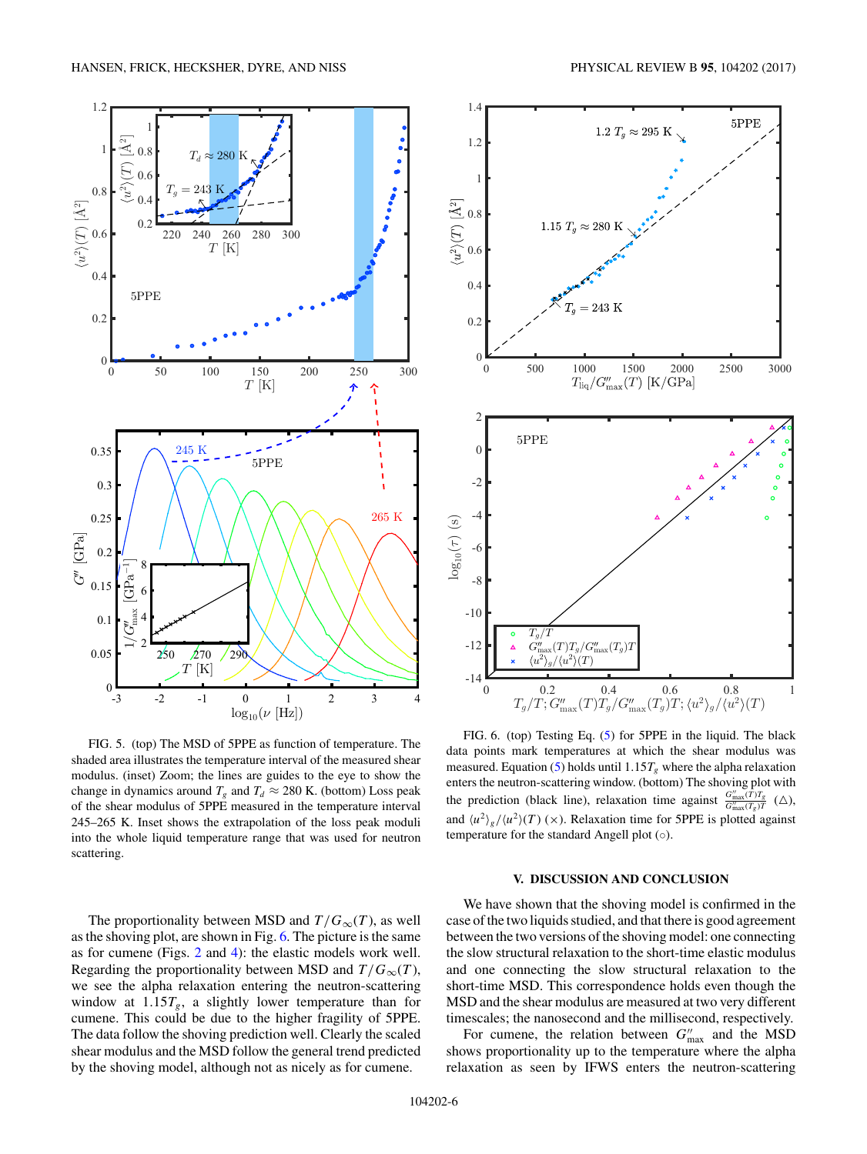$u^2\rangle(T)~[\rm \AA^2]$ 

0.4

0.6

0.8

1

<span id="page-5-0"></span>1.2





FIG. 5. (top) The MSD of 5PPE as function of temperature. The shaded area illustrates the temperature interval of the measured shear modulus. (inset) Zoom; the lines are guides to the eye to show the change in dynamics around  $T_g$  and  $T_d \approx 280$  K. (bottom) Loss peak of the shear modulus of 5PPE measured in the temperature interval 245–265 K. Inset shows the extrapolation of the loss peak moduli into the whole liquid temperature range that was used for neutron scattering.

The proportionality between MSD and  $T/G_{\infty}(T)$ , as well as the shoving plot, are shown in Fig. 6. The picture is the same as for cumene (Figs. [2](#page-3-0) and [4\)](#page-4-0): the elastic models work well. Regarding the proportionality between MSD and  $T/G_{\infty}(T)$ , we see the alpha relaxation entering the neutron-scattering window at  $1.15T_g$ , a slightly lower temperature than for cumene. This could be due to the higher fragility of 5PPE. The data follow the shoving prediction well. Clearly the scaled shear modulus and the MSD follow the general trend predicted by the shoving model, although not as nicely as for cumene.



FIG. 6. (top) Testing Eq. [\(5\)](#page-2-0) for 5PPE in the liquid. The black data points mark temperatures at which the shear modulus was measured. Equation [\(5\)](#page-2-0) holds until  $1.15T_g$  where the alpha relaxation enters the neutron-scattering window. (bottom) The shoving plot with the prediction (black line), relaxation time against  $\frac{G_{\text{max}}^m(T)T_g}{G_{\text{max}}^m(T_g)T}$  ( $\triangle$ ), and  $\langle u^2 \rangle_g / \langle u^2 \rangle (T)$  (x). Relaxation time for 5PPE is plotted against temperature for the standard Angell plot (◦).

#### **V. DISCUSSION AND CONCLUSION**

We have shown that the shoving model is confirmed in the case of the two liquids studied, and that there is good agreement between the two versions of the shoving model: one connecting the slow structural relaxation to the short-time elastic modulus and one connecting the slow structural relaxation to the short-time MSD. This correspondence holds even though the MSD and the shear modulus are measured at two very different timescales; the nanosecond and the millisecond, respectively.

For cumene, the relation between  $G''_{\text{max}}$  and the MSD shows proportionality up to the temperature where the alpha relaxation as seen by IFWS enters the neutron-scattering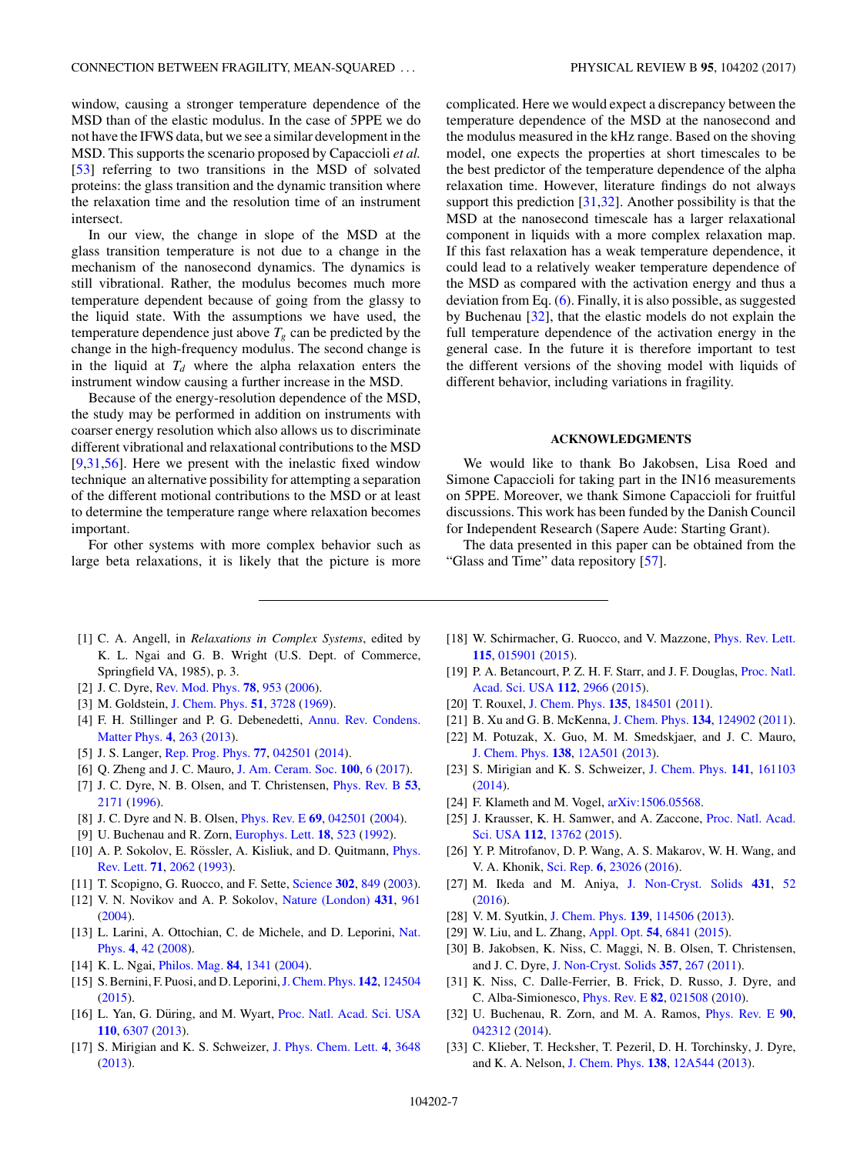<span id="page-6-0"></span>window, causing a stronger temperature dependence of the MSD than of the elastic modulus. In the case of 5PPE we do not have the IFWS data, but we see a similar development in the MSD. This supports the scenario proposed by Capaccioli *et al.* [\[53\]](#page-7-0) referring to two transitions in the MSD of solvated proteins: the glass transition and the dynamic transition where the relaxation time and the resolution time of an instrument intersect.

In our view, the change in slope of the MSD at the glass transition temperature is not due to a change in the mechanism of the nanosecond dynamics. The dynamics is still vibrational. Rather, the modulus becomes much more temperature dependent because of going from the glassy to the liquid state. With the assumptions we have used, the temperature dependence just above  $T_g$  can be predicted by the change in the high-frequency modulus. The second change is in the liquid at  $T<sub>d</sub>$  where the alpha relaxation enters the instrument window causing a further increase in the MSD.

Because of the energy-resolution dependence of the MSD, the study may be performed in addition on instruments with coarser energy resolution which also allows us to discriminate different vibrational and relaxational contributions to the MSD [9,31[,56\]](#page-7-0). Here we present with the inelastic fixed window technique an alternative possibility for attempting a separation of the different motional contributions to the MSD or at least to determine the temperature range where relaxation becomes important.

For other systems with more complex behavior such as large beta relaxations, it is likely that the picture is more complicated. Here we would expect a discrepancy between the temperature dependence of the MSD at the nanosecond and the modulus measured in the kHz range. Based on the shoving model, one expects the properties at short timescales to be the best predictor of the temperature dependence of the alpha relaxation time. However, literature findings do not always support this prediction [31,32]. Another possibility is that the MSD at the nanosecond timescale has a larger relaxational component in liquids with a more complex relaxation map. If this fast relaxation has a weak temperature dependence, it could lead to a relatively weaker temperature dependence of the MSD as compared with the activation energy and thus a deviation from Eq. [\(6\)](#page-2-0). Finally, it is also possible, as suggested by Buchenau [32], that the elastic models do not explain the full temperature dependence of the activation energy in the general case. In the future it is therefore important to test the different versions of the shoving model with liquids of different behavior, including variations in fragility.

## **ACKNOWLEDGMENTS**

We would like to thank Bo Jakobsen, Lisa Roed and Simone Capaccioli for taking part in the IN16 measurements on 5PPE. Moreover, we thank Simone Capaccioli for fruitful discussions. This work has been funded by the Danish Council for Independent Research (Sapere Aude: Starting Grant).

The data presented in this paper can be obtained from the "Glass and Time" data repository [\[57\]](#page-7-0).

- [1] C. A. Angell, in *Relaxations in Complex Systems*, edited by K. L. Ngai and G. B. Wright (U.S. Dept. of Commerce, Springfield VA, 1985), p. 3.
- [2] J. C. Dyre, [Rev. Mod. Phys.](https://doi.org/10.1103/RevModPhys.78.953) **[78](https://doi.org/10.1103/RevModPhys.78.953)**, [953](https://doi.org/10.1103/RevModPhys.78.953) [\(2006\)](https://doi.org/10.1103/RevModPhys.78.953).
- [3] M. Goldstein, [J. Chem. Phys.](https://doi.org/10.1063/1.1672587) **[51](https://doi.org/10.1063/1.1672587)**, [3728](https://doi.org/10.1063/1.1672587) [\(1969\)](https://doi.org/10.1063/1.1672587).
- [4] [F. H. Stillinger and P. G. Debenedetti,](https://doi.org/10.1146/annurev-conmatphys-030212-184329) Annu. Rev. Condens. Matter Phys. **[4](https://doi.org/10.1146/annurev-conmatphys-030212-184329)**, [263](https://doi.org/10.1146/annurev-conmatphys-030212-184329) [\(2013\)](https://doi.org/10.1146/annurev-conmatphys-030212-184329).
- [5] J. S. Langer, [Rep. Prog. Phys.](https://doi.org/10.1088/0034-4885/77/4/042501) **[77](https://doi.org/10.1088/0034-4885/77/4/042501)**, [042501](https://doi.org/10.1088/0034-4885/77/4/042501) [\(2014\)](https://doi.org/10.1088/0034-4885/77/4/042501).
- [6] Q. Zheng and J. C. Mauro, [J. Am. Ceram. Soc.](https://doi.org/10.1111/jace.14678) **[100](https://doi.org/10.1111/jace.14678)**, [6](https://doi.org/10.1111/jace.14678) [\(2017\)](https://doi.org/10.1111/jace.14678).
- [7] J. C. Dyre, N. B. Olsen, and T. Christensen, [Phys. Rev. B](https://doi.org/10.1103/PhysRevB.53.2171) **[53](https://doi.org/10.1103/PhysRevB.53.2171)**, [2171](https://doi.org/10.1103/PhysRevB.53.2171) [\(1996\)](https://doi.org/10.1103/PhysRevB.53.2171).
- [8] J. C. Dyre and N. B. Olsen, [Phys. Rev. E](https://doi.org/10.1103/PhysRevE.69.042501) **[69](https://doi.org/10.1103/PhysRevE.69.042501)**, [042501](https://doi.org/10.1103/PhysRevE.69.042501) [\(2004\)](https://doi.org/10.1103/PhysRevE.69.042501).
- [9] U. Buchenau and R. Zorn, [Europhys. Lett.](https://doi.org/10.1209/0295-5075/18/6/009) **[18](https://doi.org/10.1209/0295-5075/18/6/009)**, [523](https://doi.org/10.1209/0295-5075/18/6/009) [\(1992\)](https://doi.org/10.1209/0295-5075/18/6/009).
- [10] A. P. Sokolov, E. Rössler, A. Kisliuk, and D. Quitmann, *Phys.* Rev. Lett. **[71](https://doi.org/10.1103/PhysRevLett.71.2062)**, [2062](https://doi.org/10.1103/PhysRevLett.71.2062) [\(1993\)](https://doi.org/10.1103/PhysRevLett.71.2062).
- [11] T. Scopigno, G. Ruocco, and F. Sette, [Science](https://doi.org/10.1126/science.1089446) **[302](https://doi.org/10.1126/science.1089446)**, [849](https://doi.org/10.1126/science.1089446) [\(2003\)](https://doi.org/10.1126/science.1089446).
- [12] V. N. Novikov and A. P. Sokolov, [Nature \(London\)](https://doi.org/10.1038/nature02947) **[431](https://doi.org/10.1038/nature02947)**, [961](https://doi.org/10.1038/nature02947) [\(2004\)](https://doi.org/10.1038/nature02947).
- [13] [L. Larini, A. Ottochian, C. de Michele, and D. Leporini,](https://doi.org/10.1038/nphys788) Nat. Phys. **[4](https://doi.org/10.1038/nphys788)**, [42](https://doi.org/10.1038/nphys788) [\(2008\)](https://doi.org/10.1038/nphys788).
- [14] K. L. Ngai, [Philos. Mag.](https://doi.org/10.1080/14786430310001644080) **[84](https://doi.org/10.1080/14786430310001644080)**, [1341](https://doi.org/10.1080/14786430310001644080) [\(2004\)](https://doi.org/10.1080/14786430310001644080).
- [15] S. Bernini, F. Puosi, and D. Leporini,[J. Chem. Phys.](https://doi.org/10.1063/1.4916047) **[142](https://doi.org/10.1063/1.4916047)**, [124504](https://doi.org/10.1063/1.4916047) [\(2015\)](https://doi.org/10.1063/1.4916047).
- [16] L. Yan, G. Düring, and M. Wyart, [Proc. Natl. Acad. Sci. USA](https://doi.org/10.1073/pnas.1300534110) **[110](https://doi.org/10.1073/pnas.1300534110)**, [6307](https://doi.org/10.1073/pnas.1300534110) [\(2013\)](https://doi.org/10.1073/pnas.1300534110).
- [17] S. Mirigian and K. S. Schweizer, [J. Phys. Chem. Lett.](https://doi.org/10.1021/jz4018943) **[4](https://doi.org/10.1021/jz4018943)**, [3648](https://doi.org/10.1021/jz4018943) [\(2013\)](https://doi.org/10.1021/jz4018943).
- [18] W. Schirmacher, G. Ruocco, and V. Mazzone, *[Phys. Rev. Lett.](https://doi.org/10.1103/PhysRevLett.115.015901)* **[115](https://doi.org/10.1103/PhysRevLett.115.015901)**, [015901](https://doi.org/10.1103/PhysRevLett.115.015901) [\(2015\)](https://doi.org/10.1103/PhysRevLett.115.015901).
- [19] [P. A. Betancourt, P. Z. H. F. Starr, and J. F. Douglas,](https://doi.org/10.1073/pnas.1418654112) Proc. Natl. Acad. Sci. USA **[112](https://doi.org/10.1073/pnas.1418654112)**, [2966](https://doi.org/10.1073/pnas.1418654112) [\(2015\)](https://doi.org/10.1073/pnas.1418654112).
- [20] T. Rouxel, [J. Chem. Phys.](https://doi.org/10.1063/1.3656695) **[135](https://doi.org/10.1063/1.3656695)**, [184501](https://doi.org/10.1063/1.3656695) [\(2011\)](https://doi.org/10.1063/1.3656695).
- [21] B. Xu and G. B. McKenna, [J. Chem. Phys.](https://doi.org/10.1063/1.3567092) **[134](https://doi.org/10.1063/1.3567092)**, [124902](https://doi.org/10.1063/1.3567092) [\(2011\)](https://doi.org/10.1063/1.3567092).
- [22] M. Potuzak, X. Guo, M. M. Smedskjaer, and J. C. Mauro, [J. Chem. Phys.](https://doi.org/10.1063/1.4730525) **[138](https://doi.org/10.1063/1.4730525)**, [12A501](https://doi.org/10.1063/1.4730525) [\(2013\)](https://doi.org/10.1063/1.4730525).
- [23] S. Mirigian and K. S. Schweizer, [J. Chem. Phys.](https://doi.org/10.1063/1.4900507) **[141](https://doi.org/10.1063/1.4900507)**, [161103](https://doi.org/10.1063/1.4900507) [\(2014\)](https://doi.org/10.1063/1.4900507).
- [24] F. Klameth and M. Vogel,  $arXiv:1506.05568$ .
- [25] [J. Krausser, K. H. Samwer, and A. Zaccone,](https://doi.org/10.1073/pnas.1503741112) Proc. Natl. Acad. Sci. USA **[112](https://doi.org/10.1073/pnas.1503741112)**, [13762](https://doi.org/10.1073/pnas.1503741112) [\(2015\)](https://doi.org/10.1073/pnas.1503741112).
- [26] Y. P. Mitrofanov, D. P. Wang, A. S. Makarov, W. H. Wang, and V. A. Khonik, [Sci. Rep.](https://doi.org/10.1038/srep23026) **[6](https://doi.org/10.1038/srep23026)**, [23026](https://doi.org/10.1038/srep23026) [\(2016\)](https://doi.org/10.1038/srep23026).
- [27] M. Ikeda and M. Aniya, [J. Non-Cryst. Solids](https://doi.org/10.1016/j.jnoncrysol.2015.05.017) **[431](https://doi.org/10.1016/j.jnoncrysol.2015.05.017)**, [52](https://doi.org/10.1016/j.jnoncrysol.2015.05.017) [\(2016\)](https://doi.org/10.1016/j.jnoncrysol.2015.05.017).
- [28] V. M. Syutkin, [J. Chem. Phys.](https://doi.org/10.1063/1.4821752) **[139](https://doi.org/10.1063/1.4821752)**, [114506](https://doi.org/10.1063/1.4821752) [\(2013\)](https://doi.org/10.1063/1.4821752).
- [29] W. Liu, and L. Zhang, [Appl. Opt.](https://doi.org/10.1364/AO.54.006841) **[54](https://doi.org/10.1364/AO.54.006841)**, [6841](https://doi.org/10.1364/AO.54.006841) [\(2015\)](https://doi.org/10.1364/AO.54.006841).
- [30] B. Jakobsen, K. Niss, C. Maggi, N. B. Olsen, T. Christensen, and J. C. Dyre, [J. Non-Cryst. Solids](https://doi.org/10.1016/j.jnoncrysol.2010.08.010) **[357](https://doi.org/10.1016/j.jnoncrysol.2010.08.010)**, [267](https://doi.org/10.1016/j.jnoncrysol.2010.08.010) [\(2011\)](https://doi.org/10.1016/j.jnoncrysol.2010.08.010).
- [31] K. Niss, C. Dalle-Ferrier, B. Frick, D. Russo, J. Dyre, and C. Alba-Simionesco, [Phys. Rev. E](https://doi.org/10.1103/PhysRevE.82.021508) **[82](https://doi.org/10.1103/PhysRevE.82.021508)**, [021508](https://doi.org/10.1103/PhysRevE.82.021508) [\(2010\)](https://doi.org/10.1103/PhysRevE.82.021508).
- [32] U. Buchenau, R. Zorn, and M. A. Ramos, [Phys. Rev. E](https://doi.org/10.1103/PhysRevE.90.042312) **[90](https://doi.org/10.1103/PhysRevE.90.042312)**, [042312](https://doi.org/10.1103/PhysRevE.90.042312) [\(2014\)](https://doi.org/10.1103/PhysRevE.90.042312).
- [33] C. Klieber, T. Hecksher, T. Pezeril, D. H. Torchinsky, J. Dyre, and K. A. Nelson, [J. Chem. Phys.](https://doi.org/10.1063/1.4789948) **[138](https://doi.org/10.1063/1.4789948)**, [12A544](https://doi.org/10.1063/1.4789948) [\(2013\)](https://doi.org/10.1063/1.4789948).